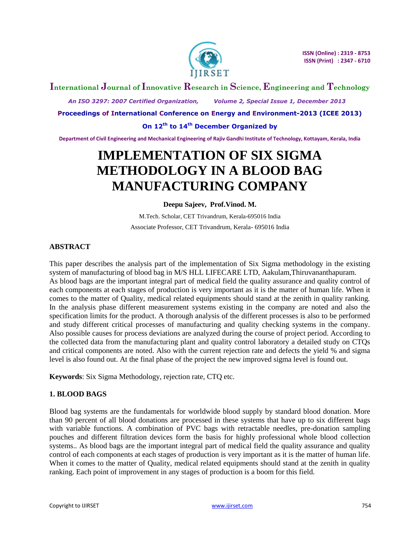

# **International Journal of Innovative Research in Science, Engineering and Technology**

 *An ISO 3297: 2007 Certified Organization, Volume 2, Special Issue 1, December 2013*

**Proceedings of International Conference on Energy and Environment-2013 (ICEE 2013)**

### **On 12th to 14th December Organized by**

**Department of Civil Engineering and Mechanical Engineering of Rajiv Gandhi Institute of Technology, Kottayam, Kerala, India**

# **IMPLEMENTATION OF SIX SIGMA METHODOLOGY IN A BLOOD BAG MANUFACTURING COMPANY**

### **Deepu Sajeev, Prof.Vinod. M.**

M.Tech. Scholar, CET Trivandrum, Kerala-695016 India Associate Professor, CET Trivandrum, Kerala- 695016 India

# **ABSTRACT**

This paper describes the analysis part of the implementation of Six Sigma methodology in the existing system of manufacturing of blood bag in M/S HLL LIFECARE LTD, Aakulam,Thiruvananthapuram. As blood bags are the important integral part of medical field the quality assurance and quality control of each components at each stages of production is very important as it is the matter of human life. When it comes to the matter of Quality, medical related equipments should stand at the zenith in quality ranking. In the analysis phase different measurement systems existing in the company are noted and also the specification limits for the product. A thorough analysis of the different processes is also to be performed and study different critical processes of manufacturing and quality checking systems in the company. Also possible causes for process deviations are analyzed during the course of project period. According to the collected data from the manufacturing plant and quality control laboratory a detailed study on CTQs and critical components are noted. Also with the current rejection rate and defects the yield % and sigma level is also found out. At the final phase of the project the new improved sigma level is found out.

**Keywords**: Six Sigma Methodology, rejection rate, CTQ etc.

# **1. BLOOD BAGS**

Blood bag systems are the fundamentals for worldwide blood supply by standard blood donation. More than 90 percent of all blood donations are processed in these systems that have up to six different bags with variable functions. A combination of PVC bags with retractable needles, pre-donation sampling pouches and different filtration devices form the basis for highly professional whole blood collection systems.. As blood bags are the important integral part of medical field the quality assurance and quality control of each components at each stages of production is very important as it is the matter of human life. When it comes to the matter of Quality, medical related equipments should stand at the zenith in quality ranking. Each point of improvement in any stages of production is a boom for this field.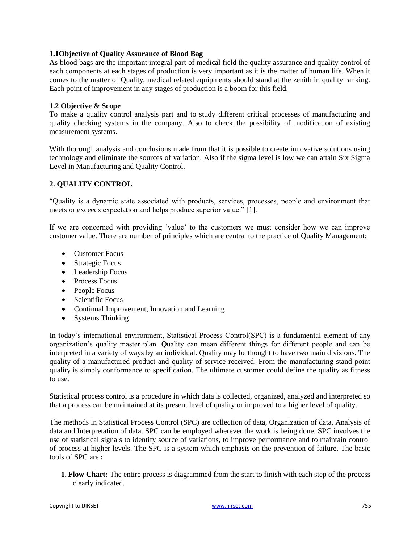## **1.1Objective of Quality Assurance of Blood Bag**

As blood bags are the important integral part of medical field the quality assurance and quality control of each components at each stages of production is very important as it is the matter of human life. When it comes to the matter of Quality, medical related equipments should stand at the zenith in quality ranking. Each point of improvement in any stages of production is a boom for this field.

### **1.2 Objective & Scope**

To make a quality control analysis part and to study different critical processes of manufacturing and quality checking systems in the company. Also to check the possibility of modification of existing measurement systems.

With thorough analysis and conclusions made from that it is possible to create innovative solutions using technology and eliminate the sources of variation. Also if the sigma level is low we can attain Six Sigma Level in Manufacturing and Quality Control.

# **2. QUALITY CONTROL**

"Quality is a dynamic state associated with products, services, processes, people and environment that meets or exceeds expectation and helps produce superior value." [1].

If we are concerned with providing "value" to the customers we must consider how we can improve customer value. There are number of principles which are central to the practice of Quality Management:

- Customer Focus
- Strategic Focus
- Leadership Focus
- Process Focus
- People Focus
- Scientific Focus
- Continual Improvement, Innovation and Learning
- Systems Thinking

In today"s international environment, Statistical Process Control(SPC) is a fundamental element of any organization"s quality master plan. Quality can mean different things for different people and can be interpreted in a variety of ways by an individual. Quality may be thought to have two main divisions. The quality of a manufactured product and quality of service received. From the manufacturing stand point quality is simply conformance to specification. The ultimate customer could define the quality as fitness to use.

Statistical process control is a procedure in which data is collected, organized, analyzed and interpreted so that a process can be maintained at its present level of quality or improved to a higher level of quality.

The methods in Statistical Process Control (SPC) are collection of data, Organization of data, Analysis of data and Interpretation of data. SPC can be employed wherever the work is being done. SPC involves the use of statistical signals to identify source of variations, to improve performance and to maintain control of process at higher levels. The SPC is a system which emphasis on the prevention of failure. The basic tools of SPC are **:**

**1. Flow Chart:** The entire process is diagrammed from the start to finish with each step of the process clearly indicated.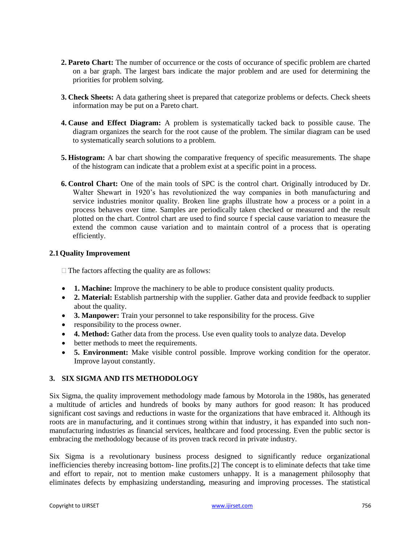- **2. Pareto Chart:** The number of occurrence or the costs of occurance of specific problem are charted on a bar graph. The largest bars indicate the major problem and are used for determining the priorities for problem solving.
- **3. Check Sheets:** A data gathering sheet is prepared that categorize problems or defects. Check sheets information may be put on a Pareto chart.
- **4. Cause and Effect Diagram:** A problem is systematically tacked back to possible cause. The diagram organizes the search for the root cause of the problem. The similar diagram can be used to systematically search solutions to a problem.
- **5. Histogram:** A bar chart showing the comparative frequency of specific measurements. The shape of the histogram can indicate that a problem exist at a specific point in a process.
- **6. Control Chart:** One of the main tools of SPC is the control chart. Originally introduced by Dr. Walter Shewart in 1920"s has revolutionized the way companies in both manufacturing and service industries monitor quality. Broken line graphs illustrate how a process or a point in a process behaves over time. Samples are periodically taken checked or measured and the result plotted on the chart. Control chart are used to find source f special cause variation to measure the extend the common cause variation and to maintain control of a process that is operating efficiently.

### **2.1Quality Improvement**

 $\Box$  The factors affecting the quality are as follows:

- **1. Machine:** Improve the machinery to be able to produce consistent quality products.
- 2. Material: Establish partnership with the supplier. Gather data and provide feedback to supplier about the quality.
- **3. Manpower:** Train your personnel to take responsibility for the process. Give
- responsibility to the process owner.
- **4. Method:** Gather data from the process. Use even quality tools to analyze data. Develop
- better methods to meet the requirements.
- **5. Environment:** Make visible control possible. Improve working condition for the operator. Improve layout constantly.

# **3. SIX SIGMA AND ITS METHODOLOGY**

Six Sigma, the quality improvement methodology made famous by Motorola in the 1980s, has generated a multitude of articles and hundreds of books by many authors for good reason: It has produced significant cost savings and reductions in waste for the organizations that have embraced it. Although its roots are in manufacturing, and it continues strong within that industry, it has expanded into such nonmanufacturing industries as financial services, healthcare and food processing. Even the public sector is embracing the methodology because of its proven track record in private industry.

Six Sigma is a revolutionary business process designed to significantly reduce organizational inefficiencies thereby increasing bottom- line profits.[2] The concept is to eliminate defects that take time and effort to repair, not to mention make customers unhappy. It is a management philosophy that eliminates defects by emphasizing understanding, measuring and improving processes. The statistical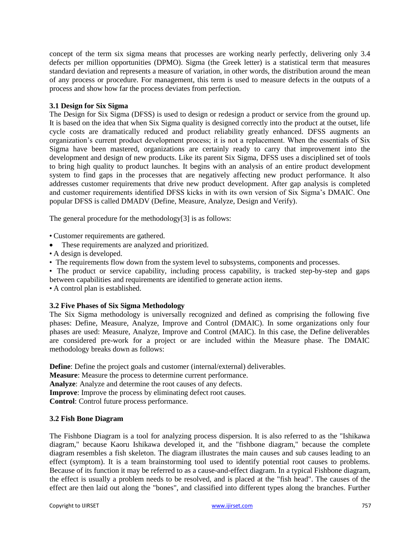concept of the term six sigma means that processes are working nearly perfectly, delivering only 3.4 defects per million opportunities (DPMO). Sigma (the Greek letter) is a statistical term that measures standard deviation and represents a measure of variation, in other words, the distribution around the mean of any process or procedure. For management, this term is used to measure defects in the outputs of a process and show how far the process deviates from perfection.

### **3.1 Design for Six Sigma**

The Design for Six Sigma (DFSS) is used to design or redesign a product or service from the ground up. It is based on the idea that when Six Sigma quality is designed correctly into the product at the outset, life cycle costs are dramatically reduced and product reliability greatly enhanced. DFSS augments an organization"s current product development process; it is not a replacement. When the essentials of Six Sigma have been mastered, organizations are certainly ready to carry that improvement into the development and design of new products. Like its parent Six Sigma, DFSS uses a disciplined set of tools to bring high quality to product launches. It begins with an analysis of an entire product development system to find gaps in the processes that are negatively affecting new product performance. It also addresses customer requirements that drive new product development. After gap analysis is completed and customer requirements identified DFSS kicks in with its own version of Six Sigma"s DMAIC. One popular DFSS is called DMADV (Define, Measure, Analyze, Design and Verify).

The general procedure for the methodology[3] is as follows:

- Customer requirements are gathered.
- These requirements are analyzed and prioritized.
- A design is developed.
- The requirements flow down from the system level to subsystems, components and processes.

• The product or service capability, including process capability, is tracked step-by-step and gaps between capabilities and requirements are identified to generate action items.

• A control plan is established.

# **3.2 Five Phases of Six Sigma Methodology**

The Six Sigma methodology is universally recognized and defined as comprising the following five phases: Define, Measure, Analyze, Improve and Control (DMAIC). In some organizations only four phases are used: Measure, Analyze, Improve and Control (MAIC). In this case, the Define deliverables are considered pre-work for a project or are included within the Measure phase. The DMAIC methodology breaks down as follows:

**Define**: Define the project goals and customer (internal/external) deliverables.

**Measure**: Measure the process to determine current performance.

**Analyze**: Analyze and determine the root causes of any defects.

**Improve**: Improve the process by eliminating defect root causes.

**Control**: Control future process performance.

# **3.2 Fish Bone Diagram**

The Fishbone Diagram is a tool for analyzing process dispersion. It is also referred to as the "Ishikawa diagram," because Kaoru Ishikawa developed it, and the "fishbone diagram," because the complete diagram resembles a fish skeleton. The diagram illustrates the main causes and sub causes leading to an effect (symptom). It is a team brainstorming tool used to identify potential root causes to problems. Because of its function it may be referred to as a cause-and-effect diagram. In a typical Fishbone diagram, the effect is usually a problem needs to be resolved, and is placed at the "fish head". The causes of the effect are then laid out along the "bones", and classified into different types along the branches. Further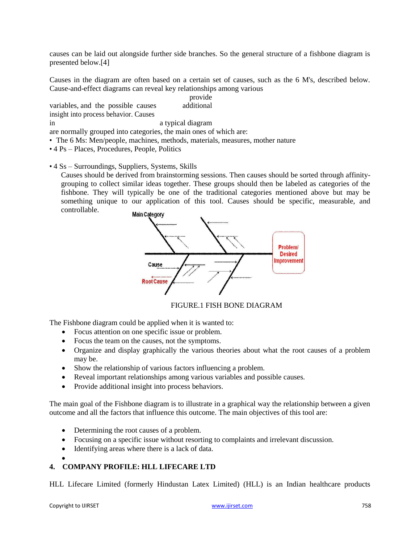causes can be laid out alongside further side branches. So the general structure of a fishbone diagram is presented below.[4]

Causes in the diagram are often based on a certain set of causes, such as the 6 M's, described below. Cause-and-effect diagrams can reveal key relationships among various

variables, and the possible causes provide additional insight into process behavior. Causes

in a typical diagram

are normally grouped into categories, the main ones of which are:

- The 6 Ms: Men/people, machines, methods, materials, measures, mother nature
- 4 Ps Places, Procedures, People, Politics
- 4 Ss Surroundings, Suppliers, Systems, Skills

Causes should be derived from brainstorming sessions. Then causes should be sorted through affinitygrouping to collect similar ideas together. These groups should then be labeled as categories of the fishbone. They will typically be one of the traditional categories mentioned above but may be something unique to our application of this tool. Causes should be specific, measurable, and controllable.



FIGURE.1 FISH BONE DIAGRAM

The Fishbone diagram could be applied when it is wanted to:

- Focus attention on one specific issue or problem.
- Focus the team on the causes, not the symptoms.
- Organize and display graphically the various theories about what the root causes of a problem may be.
- Show the relationship of various factors influencing a problem.
- Reveal important relationships among various variables and possible causes.
- Provide additional insight into process behaviors.

The main goal of the Fishbone diagram is to illustrate in a graphical way the relationship between a given outcome and all the factors that influence this outcome. The main objectives of this tool are:

- Determining the root causes of a problem.
- Focusing on a specific issue without resorting to complaints and irrelevant discussion.
- Identifying areas where there is a lack of data.
- $\bullet$

# **4. COMPANY PROFILE: HLL LIFECARE LTD**

HLL Lifecare Limited (formerly Hindustan Latex Limited) (HLL) is an Indian healthcare products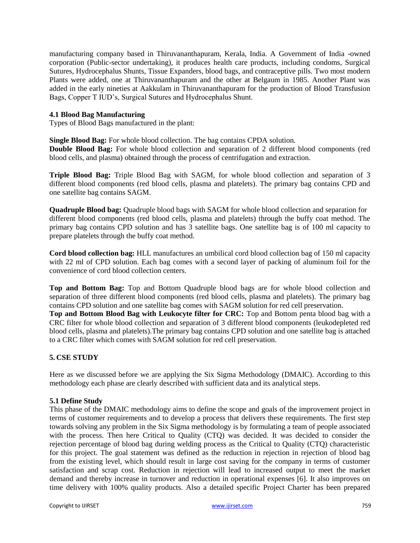manufacturing company based in Thiruvananthapuram, Kerala, India. A Government of India -owned corporation (Public-sector undertaking), it produces health care products, including condoms, Surgical Sutures, Hydrocephalus Shunts, Tissue Expanders, blood bags, and contraceptive pills. Two most modern Plants were added, one at Thiruvananthapuram and the other at Belgaum in 1985. Another Plant was added in the early nineties at Aakkulam in Thiruvananthapuram for the production of Blood Transfusion Bags, Copper T IUD"s, Surgical Sutures and Hydrocephalus Shunt.

### **4.1 Blood Bag Manufacturing**

Types of Blood Bags manufactured in the plant:

**Single Blood Bag:** For whole blood collection. The bag contains CPDA solution.

**Double Blood Bag:** For whole blood collection and separation of 2 different blood components (red blood cells, and plasma) obtained through the process of centrifugation and extraction.

**Triple Blood Bag:** Triple Blood Bag with SAGM, for whole blood collection and separation of 3 different blood components (red blood cells, plasma and platelets). The primary bag contains CPD and one satellite bag contains SAGM.

**Quadruple Blood bag:** Quadruple blood bags with SAGM for whole blood collection and separation for different blood components (red blood cells, plasma and platelets) through the buffy coat method. The primary bag contains CPD solution and has 3 satellite bags. One satellite bag is of 100 ml capacity to prepare platelets through the buffy coat method.

**Cord blood collection bag:** HLL manufactures an umbilical cord blood collection bag of 150 ml capacity with 22 ml of CPD solution. Each bag comes with a second layer of packing of aluminum foil for the convenience of cord blood collection centers.

**Top and Bottom Bag:** Top and Bottom Quadruple blood bags are for whole blood collection and separation of three different blood components (red blood cells, plasma and platelets). The primary bag contains CPD solution and one satellite bag comes with SAGM solution for red cell preservation.

**Top and Bottom Blood Bag with Leukocyte filter for CRC:** Top and Bottom penta blood bag with a CRC filter for whole blood collection and separation of 3 different blood components (leukodepleted red blood cells, plasma and platelets).The primary bag contains CPD solution and one satellite bag is attached to a CRC filter which comes with SAGM solution for red cell preservation.

# **5. CSE STUDY**

Here as we discussed before we are applying the Six Sigma Methodology (DMAIC). According to this methodology each phase are clearly described with sufficient data and its analytical steps.

# **5.1 Define Study**

This phase of the DMAIC methodology aims to define the scope and goals of the improvement project in terms of customer requirements and to develop a process that delivers these requirements. The first step towards solving any problem in the Six Sigma methodology is by formulating a team of people associated with the process. Then here Critical to Quality (CTQ) was decided. It was decided to consider the rejection percentage of blood bag during welding process as the Critical to Quality (CTQ) characteristic for this project. The goal statement was defined as the reduction in rejection in rejection of blood bag from the existing level, which should result in large cost saving for the company in terms of customer satisfaction and scrap cost. Reduction in rejection will lead to increased output to meet the market demand and thereby increase in turnover and reduction in operational expenses [6]. It also improves on time delivery with 100% quality products. Also a detailed specific Project Charter has been prepared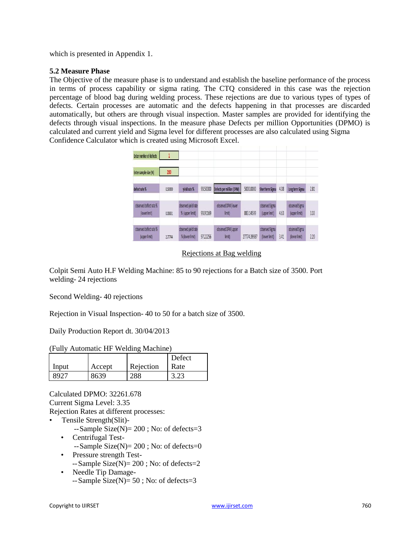which is presented in Appendix 1.

# **5.2 Measure Phase**

The Objective of the measure phase is to understand and establish the baseline performance of the process in terms of process capability or sigma rating. The CTQ considered in this case was the rejection percentage of blood bag during welding process. These rejections are due to various types of types of defects. Certain processes are automatic and the defects happening in that processes are discarded automatically, but others are through visual inspection. Master samples are provided for identifying the defects through visual inspections. In the measure phase Defects per million Opportunities (DPMO) is calculated and current yield and Sigma level for different processes are also calculated using Sigma Confidence Calculator which is created using Microsoft Excel.

| <b>Enter number of defects</b>          |         |                                        |          |                               |             |                                 |      |                                 |      |
|-----------------------------------------|---------|----------------------------------------|----------|-------------------------------|-------------|---------------------------------|------|---------------------------------|------|
| Enter sample size (N)                   | 200     |                                        |          |                               |             |                                 |      |                                 |      |
| defect rate %                           | 0.50000 | vield rate %                           | 99.50000 | Defects per million (DPM)     | 5000.0000   | Short term Sigma                | 4.08 | Long term Sigma                 | 2.81 |
| observed defect rate %<br>(lowerlimit)  | 0.08831 | observed yield rate<br>% (upper limit) | 99.91169 | observed DPM (lower<br>limit) | 883,14599   | observed Sigma<br>(upper limit) | 4.63 | observed Sigma<br>(upper limit) | 3.33 |
| observed defect rate %<br>(upper limit) | 2.77744 | observed yield rate<br>% (lower limit) | 97.22256 | observed DPM (upper<br>limit) | 27774.39987 | observed Sigma<br>(lower limit) | 3.41 | observed Sigma<br>(lower limit) | 2.20 |

# Rejections at Bag welding

Colpit Semi Auto H.F Welding Machine: 85 to 90 rejections for a Batch size of 3500. Port welding- 24 rejections

Second Welding- 40 rejections

Rejection in Visual Inspection- 40 to 50 for a batch size of 3500.

Daily Production Report dt. 30/04/2013

|       |        |           | Defect |
|-------|--------|-----------|--------|
| Input | Accept | Rejection | Rate   |
| 8977  | 8639   | 288       |        |

Calculated DPMO: 32261.678 Current Sigma Level: 3.35 Rejection Rates at different processes:

- Tensile Strength(Slit)-
	- $-Sample Size(N)= 200$ ; No: of defects=3 • Centrifugal Test-
		- $-Sample Size(N)= 200$ ; No: of defects=0
	- Pressure strength Test-  $-$ Sample Size $(N)= 200$ ; No: of defects=2
	- Needle Tip Damage-  $-Sample Size(N)= 50$ ; No: of defects=3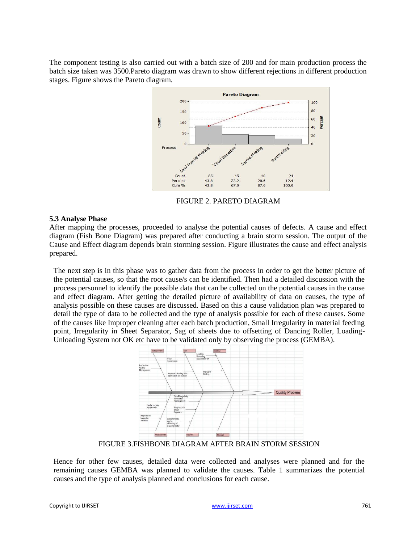The component testing is also carried out with a batch size of 200 and for main production process the batch size taken was 3500.Pareto diagram was drawn to show different rejections in different production stages. Figure shows the Pareto diagram.



FIGURE 2. PARETO DIAGRAM

# **5.3 Analyse Phase**

After mapping the processes, proceeded to analyse the potential causes of defects. A cause and effect diagram (Fish Bone Diagram) was prepared after conducting a brain storm session. The output of the Cause and Effect diagram depends brain storming session. Figure illustrates the cause and effect analysis prepared.

The next step is in this phase was to gather data from the process in order to get the better picture of the potential causes, so that the root cause/s can be identified. Then had a detailed discussion with the process personnel to identify the possible data that can be collected on the potential causes in the cause and effect diagram. After getting the detailed picture of availability of data on causes, the type of analysis possible on these causes are discussed. Based on this a cause validation plan was prepared to detail the type of data to be collected and the type of analysis possible for each of these causes. Some of the causes like Improper cleaning after each batch production, Small Irregularity in material feeding point, Irregularity in Sheet Separator, Sag of sheets due to offsetting of Dancing Roller, Loading-Unloading System not OK etc have to be validated only by observing the process (GEMBA).



FIGURE 3.FISHBONE DIAGRAM AFTER BRAIN STORM SESSION

Hence for other few causes, detailed data were collected and analyses were planned and for the remaining causes GEMBA was planned to validate the causes. Table 1 summarizes the potential causes and the type of analysis planned and conclusions for each cause.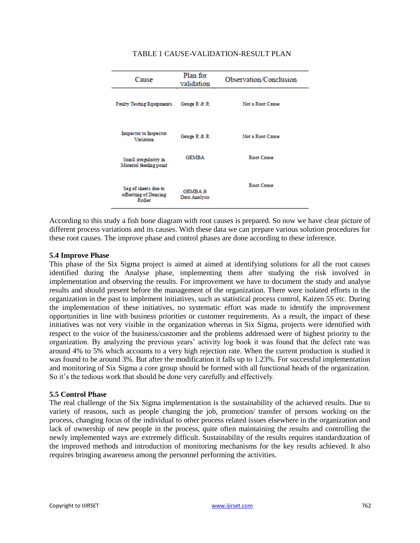| Cause                                                   | Plan for<br>validation              | Observation/Conclusion |  |  |
|---------------------------------------------------------|-------------------------------------|------------------------|--|--|
| <b>Faulty Testing Equipments</b>                        | Gauge R & R                         | Not a Root Cause       |  |  |
| <b>Inspector to Inspector</b><br>Variation              | Gauge R & R                         | Not a Root Cause       |  |  |
| Small irregularity in<br>Material feeding point         | <b>GEMBA</b>                        | Root Cause             |  |  |
| Sag of sheets due to<br>offsetting of Dancing<br>Roller | <b>GEMBA &amp;</b><br>Data Analysis | Root Cause             |  |  |

### TABLE 1 CAUSE-VALIDATION-RESULT PLAN

According to this study a fish bone diagram with root causes is prepared. So now we have clear picture of different process variations and its causes. With these data we can prepare various solution procedures for these root causes. The improve phase and control phases are done according to these inference.

### **5.4 Improve Phase**

This phase of the Six Sigma project is aimed at aimed at identifying solutions for all the root causes identified during the Analyse phase, implementing them after studying the risk involved in implementation and observing the results. For improvement we have to document the study and analyse results and should present before the management of the organization. There were isolated efforts in the organization in the past to implement initiatives, such as statistical process control, Kaizen 5S etc. During the implementation of these initiatives, no systematic effort was made to identify the improvement opportunities in line with business priorities or customer requirements. As a result, the impact of these initiatives was not very visible in the organization whereas in Six Sigma, projects were identified with respect to the voice of the business/customer and the problems addressed were of highest priority to the organization. By analyzing the previous years" activity log book it was found that the defect rate was around 4% to 5% which accounts to a very high rejection rate. When the current production is studied it was found to be around 3%. But after the modification it falls up to 1.23%. For successful implementation and monitoring of Six Sigma a core group should be formed with all functional heads of the organization. So it's the tedious work that should be done very carefully and effectively.

### **5.5 Control Phase**

The real challenge of the Six Sigma implementation is the sustainability of the achieved results. Due to variety of reasons, such as people changing the job, promotion/ transfer of persons working on the process, changing focus of the individual to other process related issues elsewhere in the organization and lack of ownership of new people in the process, quite often maintaining the results and controlling the newly implemented ways are extremely difficult. Sustainability of the results requires standardization of the improved methods and introduction of monitoring mechanisms for the key results achieved. It also requires bringing awareness among the personnel performing the activities.